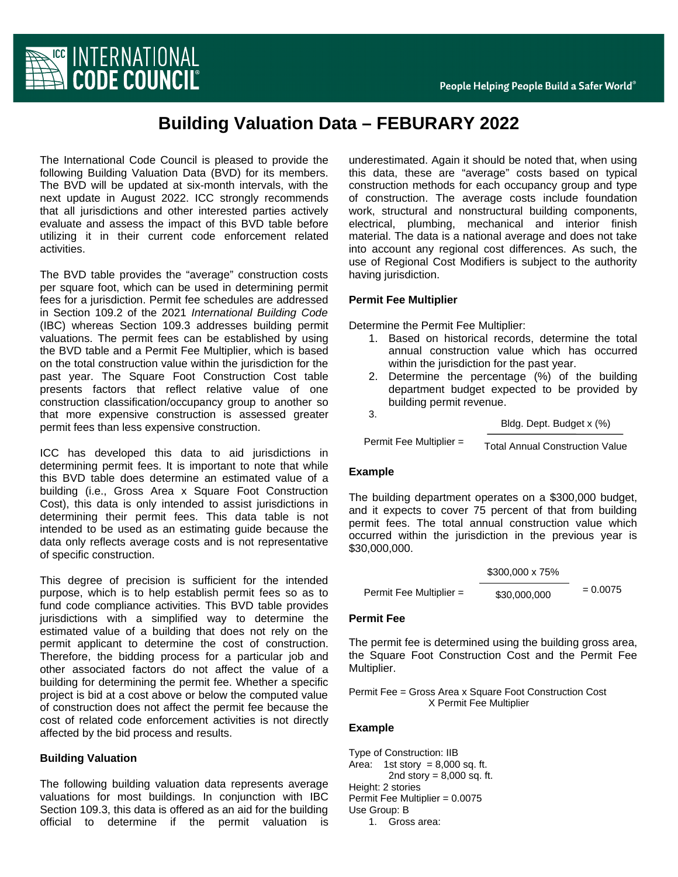

# **Building Valuation Data – FEBURARY 2022**

The International Code Council is pleased to provide the following Building Valuation Data (BVD) for its members. The BVD will be updated at six-month intervals, with the next update in August 2022. ICC strongly recommends that all jurisdictions and other interested parties actively evaluate and assess the impact of this BVD table before utilizing it in their current code enforcement related activities.

The BVD table provides the "average" construction costs per square foot, which can be used in determining permit fees for a jurisdiction. Permit fee schedules are addressed in Section 109.2 of the 2021 *International Building Code* (IBC) whereas Section 109.3 addresses building permit valuations. The permit fees can be established by using the BVD table and a Permit Fee Multiplier, which is based on the total construction value within the jurisdiction for the past year. The Square Foot Construction Cost table presents factors that reflect relative value of one construction classification/occupancy group to another so that more expensive construction is assessed greater permit fees than less expensive construction.

ICC has developed this data to aid jurisdictions in determining permit fees. It is important to note that while this BVD table does determine an estimated value of a building (i.e., Gross Area x Square Foot Construction Cost), this data is only intended to assist jurisdictions in determining their permit fees. This data table is not intended to be used as an estimating guide because the data only reflects average costs and is not representative of specific construction.

This degree of precision is sufficient for the intended purpose, which is to help establish permit fees so as to fund code compliance activities. This BVD table provides jurisdictions with a simplified way to determine the estimated value of a building that does not rely on the permit applicant to determine the cost of construction. Therefore, the bidding process for a particular job and other associated factors do not affect the value of a building for determining the permit fee. Whether a specific project is bid at a cost above or below the computed value of construction does not affect the permit fee because the cost of related code enforcement activities is not directly affected by the bid process and results.

### **Building Valuation**

The following building valuation data represents average valuations for most buildings. In conjunction with IBC Section 109.3, this data is offered as an aid for the building official to determine if the permit valuation is underestimated. Again it should be noted that, when using this data, these are "average" costs based on typical construction methods for each occupancy group and type of construction. The average costs include foundation work, structural and nonstructural building components, electrical, plumbing, mechanical and interior finish material. The data is a national average and does not take into account any regional cost differences. As such, the use of Regional Cost Modifiers is subject to the authority having jurisdiction.

### **Permit Fee Multiplier**

Determine the Permit Fee Multiplier:

- 1. Based on historical records, determine the total annual construction value which has occurred within the jurisdiction for the past year.
- 2. Determine the percentage (%) of the building department budget expected to be provided by building permit revenue.
	-

3.

Bldg. Dept. Budget x (%)

Permit Fee Multiplier =  $\frac{1}{\pi}$  Total Annual Construction Value

### **Example**

The building department operates on a \$300,000 budget, and it expects to cover 75 percent of that from building permit fees. The total annual construction value which occurred within the jurisdiction in the previous year is \$30,000,000.

|                         | \$300,000 x 75% |            |
|-------------------------|-----------------|------------|
| Permit Fee Multiplier = | \$30,000,000    | $= 0.0075$ |

### **Permit Fee**

The permit fee is determined using the building gross area, the Square Foot Construction Cost and the Permit Fee Multiplier.

Permit Fee = Gross Area x Square Foot Construction Cost X Permit Fee Multiplier

### **Example**

Type of Construction: IIB Area: 1st story =  $8,000$  sq. ft. 2nd story =  $8,000$  sq. ft. Height: 2 stories Permit Fee Multiplier = 0.0075 Use Group: B 1. Gross area: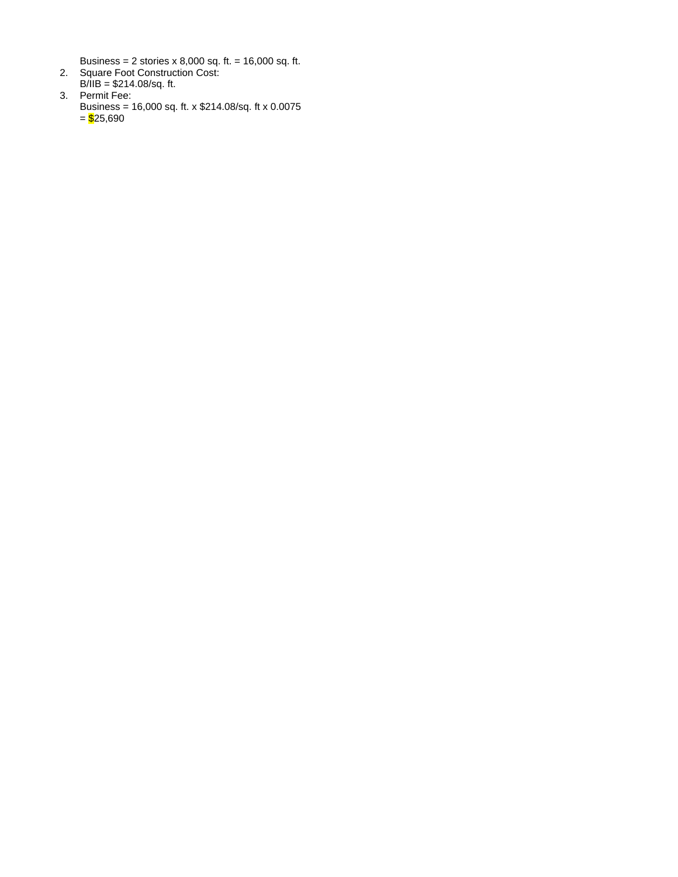Business = 2 stories x 8,000 sq. ft. = 16,000 sq. ft.

- 2. Square Foot Construction Cost: B/IIB = \$214.08/sq. ft.
- 3. Permit Fee: Business = 16,000 sq. ft. x \$214.08/sq. ft x 0.0075  $=$  \$25,690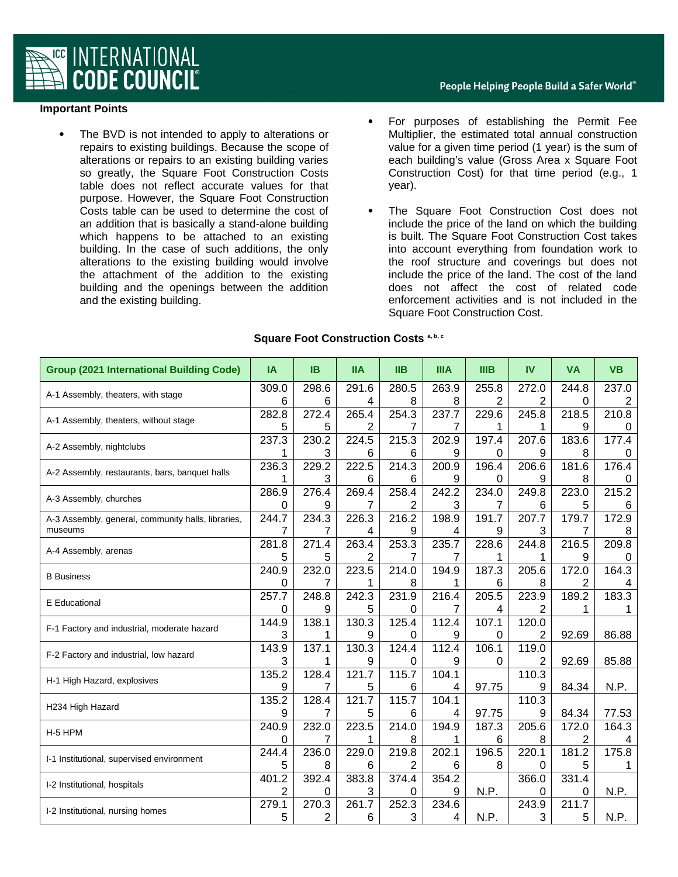

## **Important Points**

 The BVD is not intended to apply to alterations or repairs to existing buildings. Because the scope of alterations or repairs to an existing building varies so greatly, the Square Foot Construction Costs table does not reflect accurate values for that purpose. However, the Square Foot Construction Costs table can be used to determine the cost of an addition that is basically a stand-alone building which happens to be attached to an existing building. In the case of such additions, the only alterations to the existing building would involve the attachment of the addition to the existing building and the openings between the addition and the existing building.

- For purposes of establishing the Permit Fee Multiplier, the estimated total annual construction value for a given time period (1 year) is the sum of each building's value (Gross Area x Square Foot Construction Cost) for that time period (e.g., 1 year).
- The Square Foot Construction Cost does not include the price of the land on which the building is built. The Square Foot Construction Cost takes into account everything from foundation work to the roof structure and coverings but does not include the price of the land. The cost of the land does not affect the cost of related code enforcement activities and is not included in the Square Foot Construction Cost.

| <b>Group (2021 International Building Code)</b>    | <b>IA</b> | IB.   | <b>IIA</b>   | $\mathsf{IIB}$ | <b>IIIA</b>  | <b>IIIB</b> | <b>IV</b>          | <b>VA</b>      | <b>VB</b> |
|----------------------------------------------------|-----------|-------|--------------|----------------|--------------|-------------|--------------------|----------------|-----------|
| A-1 Assembly, theaters, with stage                 | 309.0     | 298.6 | 291.6        | 280.5          | 263.9        | 255.8       | 272.0              | 244.8          | 237.0     |
|                                                    | 6         | 6     | 4            | 8              | 8            | 2           | 2                  | 0              | 2         |
| A-1 Assembly, theaters, without stage              | 282.8     | 272.4 | 265.4        | 254.3          | 237.7        | 229.6       | 245.8              | 218.5          | 210.8     |
|                                                    | 5         | 5     | 2            | 7              | 7            | 1           | 1                  | 9              | 0         |
| A-2 Assembly, nightclubs                           | 237.3     | 230.2 | 224.5        | 215.3          | 202.9        | 197.4       | 207.6              | 183.6          | 177.4     |
|                                                    | 1         | 3     | 6            | 6              | 9            | 0           | 9                  | 8              | 0         |
| A-2 Assembly, restaurants, bars, banquet halls     | 236.3     | 229.2 | 222.5        | 214.3          | 200.9        | 196.4       | 206.6              | 181.6          | 176.4     |
|                                                    | 1         | 3     | 6            | 6              | 9            | 0           | 9                  | 8              | 0         |
| A-3 Assembly, churches                             | 286.9     | 276.4 | 269.4        | 258.4          | 242.2        | 234.0       | 249.8              | 223.0          | 215.2     |
|                                                    | 0         | 9     | 7            | 2              | 3            | 7           | 6                  | 5              | 6         |
| A-3 Assembly, general, community halls, libraries, | 244.7     | 234.3 | 226.3        | 216.2          | 198.9        | 191.7       | 207.7              | 179.7          | 172.9     |
| museums                                            | 7         | 7     | 4            | 9              | 4            | 9           | 3                  | 7              | 8         |
| A-4 Assembly, arenas                               | 281.8     | 271.4 | 263.4        | 253.3          | 235.7        | 228.6       | 244.8              | 216.5          | 209.8     |
|                                                    | 5         | 5     | 2            | 7              | 7            | 1           | 1                  | 9              | 0         |
| <b>B</b> Business                                  | 240.9     | 232.0 | 223.5        | 214.0          | 194.9        | 187.3       | 205.6              | 172.0          | 164.3     |
|                                                    | 0         | 7     | 1            | 8              | 1            | 6           | 8                  | 2              | 4         |
| E Educational                                      | 257.7     | 248.8 | 242.3        | 231.9          | 216.4        | 205.5       | 223.9              | 189.2          | 183.3     |
|                                                    | 0         | 9     | 5            | 0              | 7            | 4           | 2                  | 1              | 1         |
| F-1 Factory and industrial, moderate hazard        | 144.9     | 138.1 | 130.3        | 125.4          | 112.4        | 107.1       | 120.0              |                |           |
|                                                    | 3         | 1     | 9            | 0              | 9            | 0           | 2                  | 92.69          | 86.88     |
| F-2 Factory and industrial, low hazard             | 143.9     | 137.1 | 130.3        | 124.4          | 112.4        | 106.1       | 119.0              |                |           |
|                                                    | 3         | 1     | 9            | 0              | 9            | 0           | 2                  | 92.69          | 85.88     |
| H-1 High Hazard, explosives                        | 135.2     | 128.4 | 121.7        | 115.7          | 104.1        |             | 110.3              |                |           |
|                                                    | 9         | 7     | 5            | 6              | 4            | 97.75       | 9                  | 84.34          | N.P.      |
| H234 High Hazard                                   | 135.2     | 128.4 | 121.7        | 115.7          | 104.1        |             | $110.\overline{3}$ |                |           |
|                                                    | 9         | 7     | 5            | 6              | 4            | 97.75       | 9                  | 84.34          | 77.53     |
| H-5 HPM                                            | 240.9     | 232.0 | 223.5        | 214.0          | 194.9        | 187.3       | 205.6              | 172.0          | 164.3     |
|                                                    | 0         | 7     | $\mathbf{1}$ | 8              | $\mathbf{1}$ | 6           | 8                  | $\overline{c}$ | 4         |
| I-1 Institutional, supervised environment          | 244.4     | 236.0 | 229.0        | 219.8          | 202.1        | 196.5       | 220.1              | 181.2          | 175.8     |
|                                                    | 5         | 8     | 6            | 2              | 6            | 8           | 0                  | 5              | 1         |
| I-2 Institutional, hospitals                       | 401.2     | 392.4 | 383.8        | 374.4          | 354.2        |             | 366.0              | 331.4          |           |
|                                                    | 2         | 0     | 3            | 0              | 9            | N.P.        | 0                  | 0              | N.P.      |
| I-2 Institutional, nursing homes                   | 279.1     | 270.3 | 261.7        | 252.3          | 234.6        |             | 243.9              | 211.7          |           |
|                                                    | 5         | 2     | 6            | 3              | 4            | N.P.        | 3                  | 5              | N.P.      |

## **Square Foot Construction Costs a, b, c**